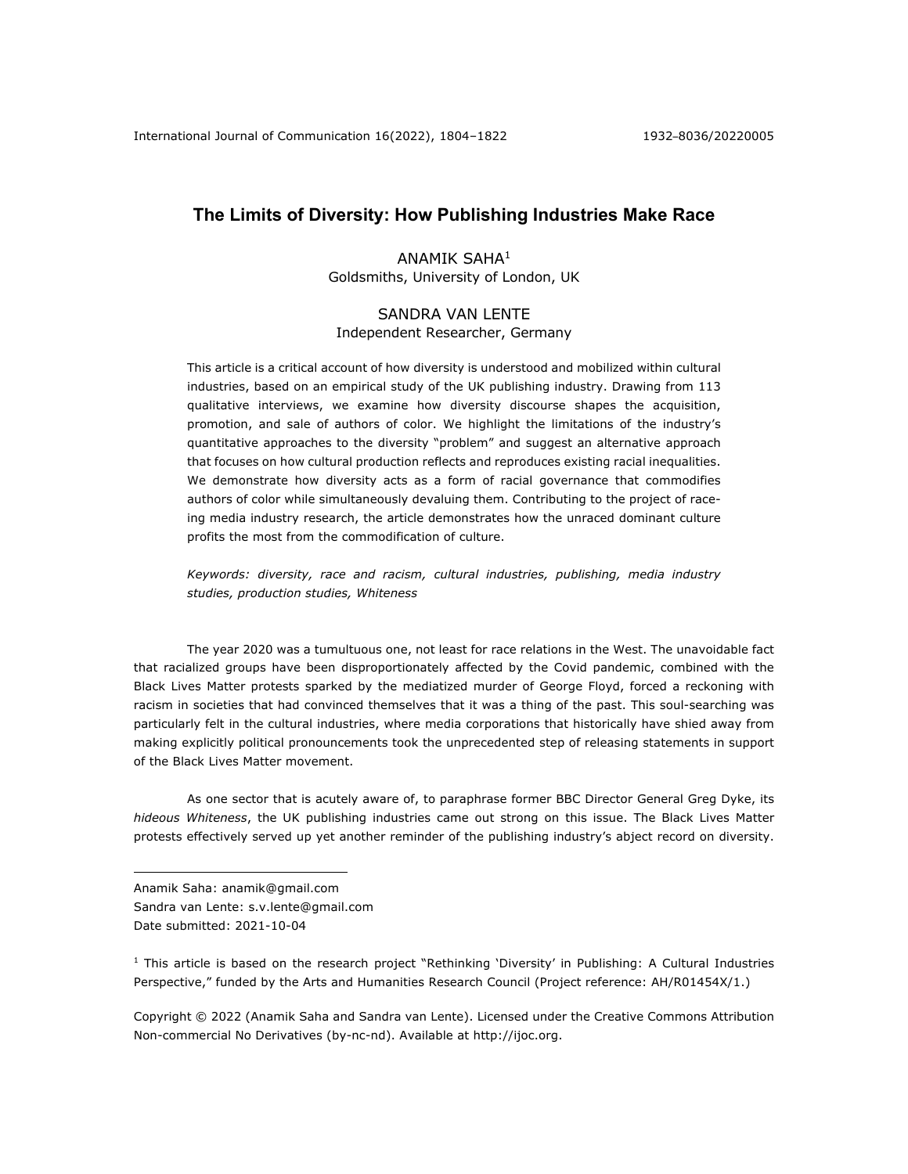# **The Limits of Diversity: How Publishing Industries Make Race**

# ANAMIK SAHA1 Goldsmiths, University of London, UK

# SANDRA VAN LENTE Independent Researcher, Germany

This article is a critical account of how diversity is understood and mobilized within cultural industries, based on an empirical study of the UK publishing industry. Drawing from 113 qualitative interviews, we examine how diversity discourse shapes the acquisition, promotion, and sale of authors of color. We highlight the limitations of the industry's quantitative approaches to the diversity "problem" and suggest an alternative approach that focuses on how cultural production reflects and reproduces existing racial inequalities. We demonstrate how diversity acts as a form of racial governance that commodifies authors of color while simultaneously devaluing them. Contributing to the project of raceing media industry research, the article demonstrates how the unraced dominant culture profits the most from the commodification of culture.

*Keywords: diversity, race and racism, cultural industries, publishing, media industry studies, production studies, Whiteness*

The year 2020 was a tumultuous one, not least for race relations in the West. The unavoidable fact that racialized groups have been disproportionately affected by the Covid pandemic, combined with the Black Lives Matter protests sparked by the mediatized murder of George Floyd, forced a reckoning with racism in societies that had convinced themselves that it was a thing of the past. This soul-searching was particularly felt in the cultural industries, where media corporations that historically have shied away from making explicitly political pronouncements took the unprecedented step of releasing statements in support of the Black Lives Matter movement.

As one sector that is acutely aware of, to paraphrase former BBC Director General Greg Dyke, its *hideous Whiteness*, the UK publishing industries came out strong on this issue. The Black Lives Matter protests effectively served up yet another reminder of the publishing industry's abject record on diversity.

<sup>1</sup> This article is based on the research project "Rethinking 'Diversity' in Publishing: A Cultural Industries Perspective," funded by the Arts and Humanities Research Council (Project reference: AH/R01454X/1.)

Copyright © 2022 (Anamik Saha and Sandra van Lente). Licensed under the Creative Commons Attribution Non-commercial No Derivatives (by-nc-nd). Available at http://ijoc.org.

Anamik Saha: anamik@gmail.com

Sandra van Lente: s.v.lente@gmail.com

Date submitted: 2021-10-04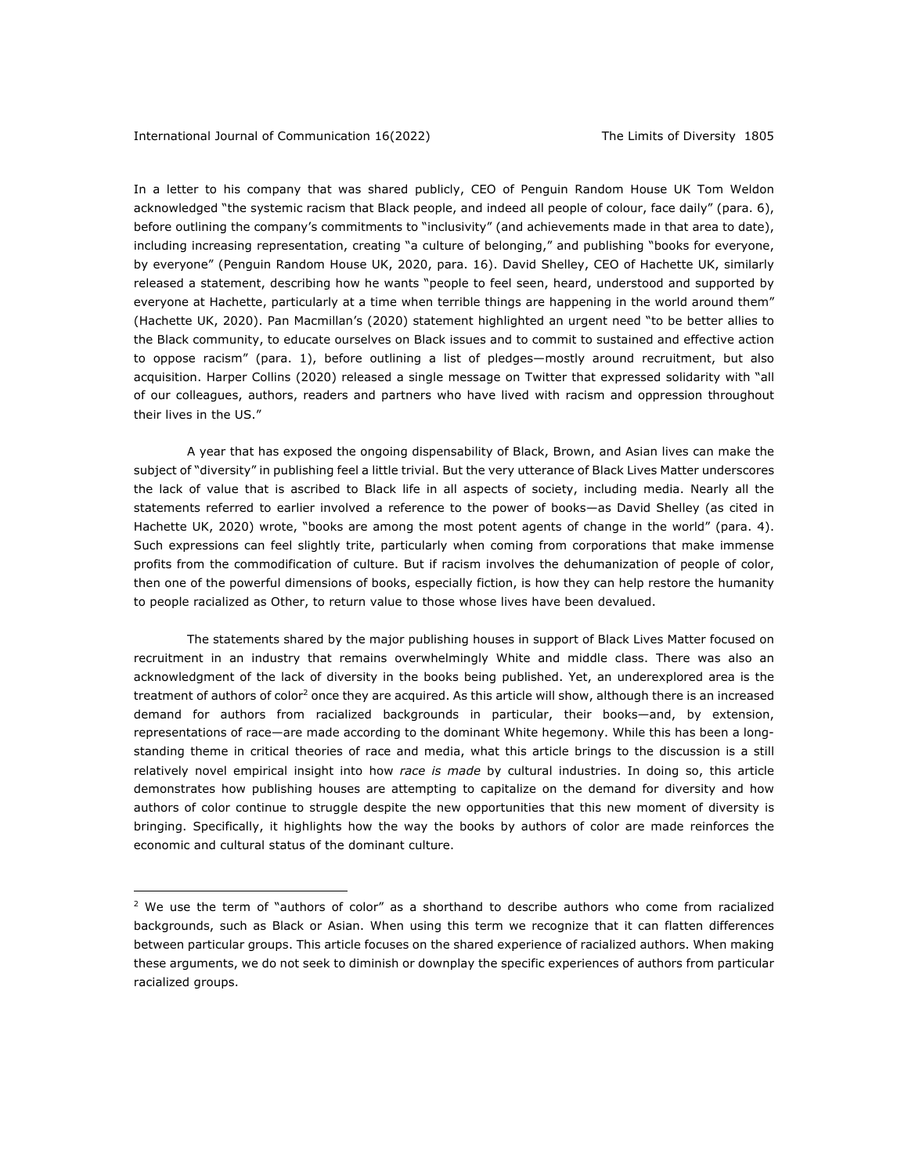In a letter to his company that was shared publicly, CEO of Penguin Random House UK Tom Weldon acknowledged "the systemic racism that Black people, and indeed all people of colour, face daily" (para. 6), before outlining the company's commitments to "inclusivity" (and achievements made in that area to date), including increasing representation, creating "a culture of belonging," and publishing "books for everyone, by everyone" (Penguin Random House UK, 2020, para. 16). David Shelley, CEO of Hachette UK, similarly released a statement, describing how he wants "people to feel seen, heard, understood and supported by everyone at Hachette, particularly at a time when terrible things are happening in the world around them" (Hachette UK, 2020). Pan Macmillan's (2020) statement highlighted an urgent need "to be better allies to the Black community, to educate ourselves on Black issues and to commit to sustained and effective action to oppose racism" (para. 1), before outlining a list of pledges—mostly around recruitment, but also acquisition. Harper Collins (2020) released a single message on Twitter that expressed solidarity with "all of our colleagues, authors, readers and partners who have lived with racism and oppression throughout their lives in the US."

A year that has exposed the ongoing dispensability of Black, Brown, and Asian lives can make the subject of "diversity" in publishing feel a little trivial. But the very utterance of Black Lives Matter underscores the lack of value that is ascribed to Black life in all aspects of society, including media. Nearly all the statements referred to earlier involved a reference to the power of books—as David Shelley (as cited in Hachette UK, 2020) wrote, "books are among the most potent agents of change in the world" (para. 4). Such expressions can feel slightly trite, particularly when coming from corporations that make immense profits from the commodification of culture. But if racism involves the dehumanization of people of color, then one of the powerful dimensions of books, especially fiction, is how they can help restore the humanity to people racialized as Other, to return value to those whose lives have been devalued.

The statements shared by the major publishing houses in support of Black Lives Matter focused on recruitment in an industry that remains overwhelmingly White and middle class. There was also an acknowledgment of the lack of diversity in the books being published. Yet, an underexplored area is the treatment of authors of color<sup>2</sup> once they are acquired. As this article will show, although there is an increased demand for authors from racialized backgrounds in particular, their books—and, by extension, representations of race—are made according to the dominant White hegemony. While this has been a longstanding theme in critical theories of race and media, what this article brings to the discussion is a still relatively novel empirical insight into how *race is made* by cultural industries. In doing so, this article demonstrates how publishing houses are attempting to capitalize on the demand for diversity and how authors of color continue to struggle despite the new opportunities that this new moment of diversity is bringing. Specifically, it highlights how the way the books by authors of color are made reinforces the economic and cultural status of the dominant culture.

 $2$  We use the term of "authors of color" as a shorthand to describe authors who come from racialized backgrounds, such as Black or Asian. When using this term we recognize that it can flatten differences between particular groups. This article focuses on the shared experience of racialized authors. When making these arguments, we do not seek to diminish or downplay the specific experiences of authors from particular racialized groups.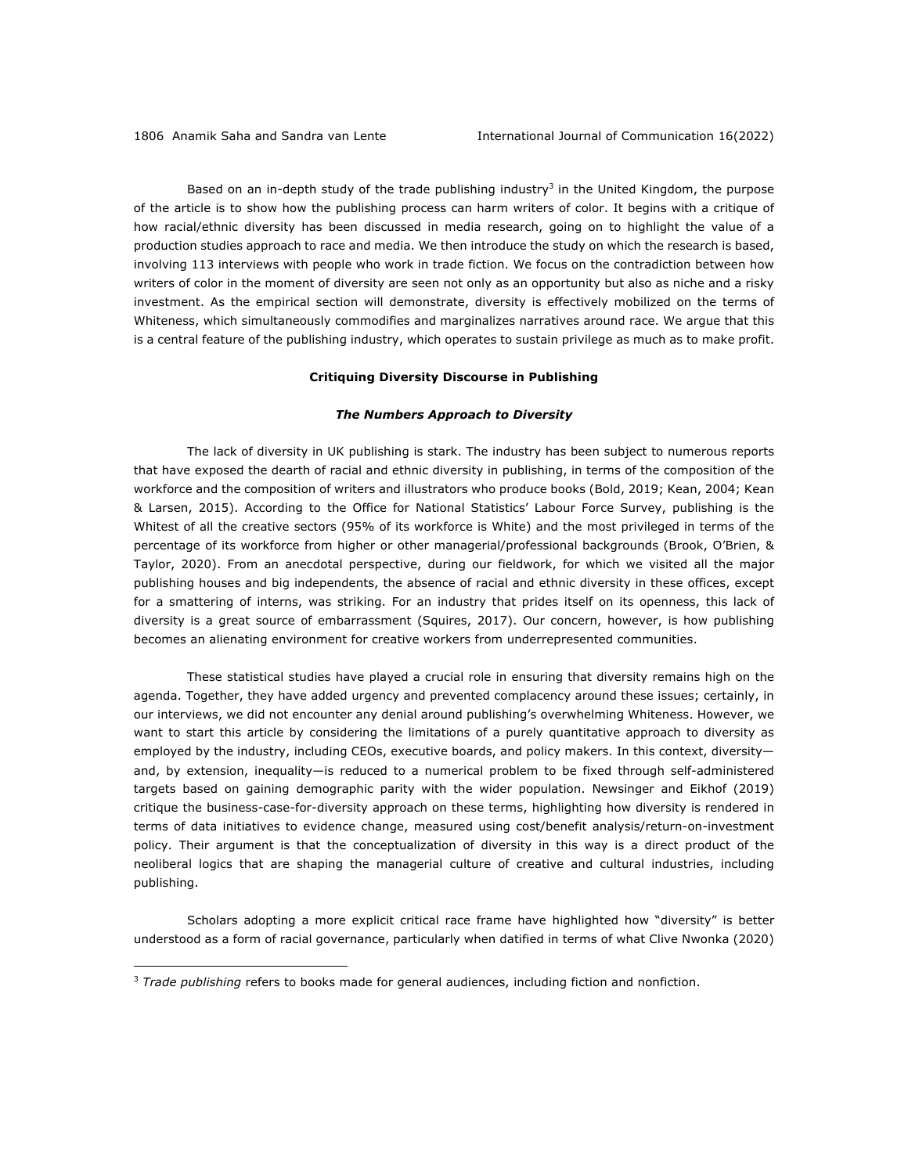Based on an in-depth study of the trade publishing industry<sup>3</sup> in the United Kingdom, the purpose of the article is to show how the publishing process can harm writers of color. It begins with a critique of how racial/ethnic diversity has been discussed in media research, going on to highlight the value of a production studies approach to race and media. We then introduce the study on which the research is based, involving 113 interviews with people who work in trade fiction. We focus on the contradiction between how writers of color in the moment of diversity are seen not only as an opportunity but also as niche and a risky investment. As the empirical section will demonstrate, diversity is effectively mobilized on the terms of Whiteness, which simultaneously commodifies and marginalizes narratives around race. We argue that this is a central feature of the publishing industry, which operates to sustain privilege as much as to make profit.

### **Critiquing Diversity Discourse in Publishing**

## *The Numbers Approach to Diversity*

The lack of diversity in UK publishing is stark. The industry has been subject to numerous reports that have exposed the dearth of racial and ethnic diversity in publishing, in terms of the composition of the workforce and the composition of writers and illustrators who produce books (Bold, 2019; Kean, 2004; Kean & Larsen, 2015). According to the Office for National Statistics' Labour Force Survey, publishing is the Whitest of all the creative sectors (95% of its workforce is White) and the most privileged in terms of the percentage of its workforce from higher or other managerial/professional backgrounds (Brook, O'Brien, & Taylor, 2020). From an anecdotal perspective, during our fieldwork, for which we visited all the major publishing houses and big independents, the absence of racial and ethnic diversity in these offices, except for a smattering of interns, was striking. For an industry that prides itself on its openness, this lack of diversity is a great source of embarrassment (Squires, 2017). Our concern, however, is how publishing becomes an alienating environment for creative workers from underrepresented communities.

These statistical studies have played a crucial role in ensuring that diversity remains high on the agenda. Together, they have added urgency and prevented complacency around these issues; certainly, in our interviews, we did not encounter any denial around publishing's overwhelming Whiteness. However, we want to start this article by considering the limitations of a purely quantitative approach to diversity as employed by the industry, including CEOs, executive boards, and policy makers. In this context, diversity and, by extension, inequality—is reduced to a numerical problem to be fixed through self-administered targets based on gaining demographic parity with the wider population. Newsinger and Eikhof (2019) critique the business-case-for-diversity approach on these terms, highlighting how diversity is rendered in terms of data initiatives to evidence change, measured using cost/benefit analysis/return-on-investment policy. Their argument is that the conceptualization of diversity in this way is a direct product of the neoliberal logics that are shaping the managerial culture of creative and cultural industries, including publishing.

Scholars adopting a more explicit critical race frame have highlighted how "diversity" is better understood as a form of racial governance, particularly when datified in terms of what Clive Nwonka (2020)

<sup>3</sup> *Trade publishing* refers to books made for general audiences, including fiction and nonfiction.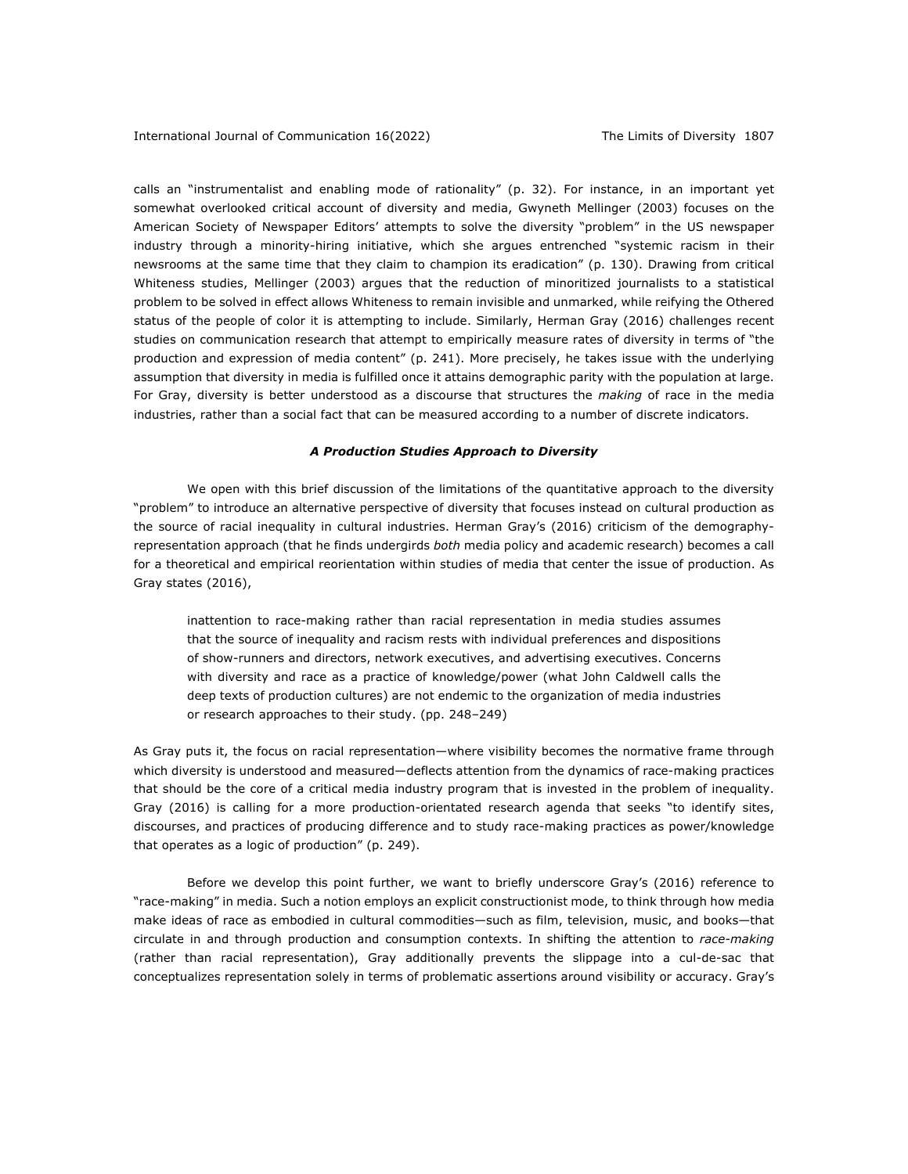calls an "instrumentalist and enabling mode of rationality" (p. 32). For instance, in an important yet somewhat overlooked critical account of diversity and media, Gwyneth Mellinger (2003) focuses on the American Society of Newspaper Editors' attempts to solve the diversity "problem" in the US newspaper industry through a minority-hiring initiative, which she argues entrenched "systemic racism in their newsrooms at the same time that they claim to champion its eradication" (p. 130). Drawing from critical Whiteness studies, Mellinger (2003) argues that the reduction of minoritized journalists to a statistical problem to be solved in effect allows Whiteness to remain invisible and unmarked, while reifying the Othered status of the people of color it is attempting to include. Similarly, Herman Gray (2016) challenges recent studies on communication research that attempt to empirically measure rates of diversity in terms of "the production and expression of media content" (p. 241). More precisely, he takes issue with the underlying assumption that diversity in media is fulfilled once it attains demographic parity with the population at large. For Gray, diversity is better understood as a discourse that structures the *making* of race in the media industries, rather than a social fact that can be measured according to a number of discrete indicators.

#### *A Production Studies Approach to Diversity*

We open with this brief discussion of the limitations of the quantitative approach to the diversity "problem" to introduce an alternative perspective of diversity that focuses instead on cultural production as the source of racial inequality in cultural industries. Herman Gray's (2016) criticism of the demographyrepresentation approach (that he finds undergirds *both* media policy and academic research) becomes a call for a theoretical and empirical reorientation within studies of media that center the issue of production. As Gray states (2016),

inattention to race-making rather than racial representation in media studies assumes that the source of inequality and racism rests with individual preferences and dispositions of show-runners and directors, network executives, and advertising executives. Concerns with diversity and race as a practice of knowledge/power (what John Caldwell calls the deep texts of production cultures) are not endemic to the organization of media industries or research approaches to their study. (pp. 248–249)

As Gray puts it, the focus on racial representation—where visibility becomes the normative frame through which diversity is understood and measured—deflects attention from the dynamics of race-making practices that should be the core of a critical media industry program that is invested in the problem of inequality. Gray (2016) is calling for a more production-orientated research agenda that seeks "to identify sites, discourses, and practices of producing difference and to study race-making practices as power/knowledge that operates as a logic of production" (p. 249).

Before we develop this point further, we want to briefly underscore Gray's (2016) reference to "race-making" in media. Such a notion employs an explicit constructionist mode, to think through how media make ideas of race as embodied in cultural commodities—such as film, television, music, and books—that circulate in and through production and consumption contexts. In shifting the attention to *race-making* (rather than racial representation), Gray additionally prevents the slippage into a cul-de-sac that conceptualizes representation solely in terms of problematic assertions around visibility or accuracy. Gray's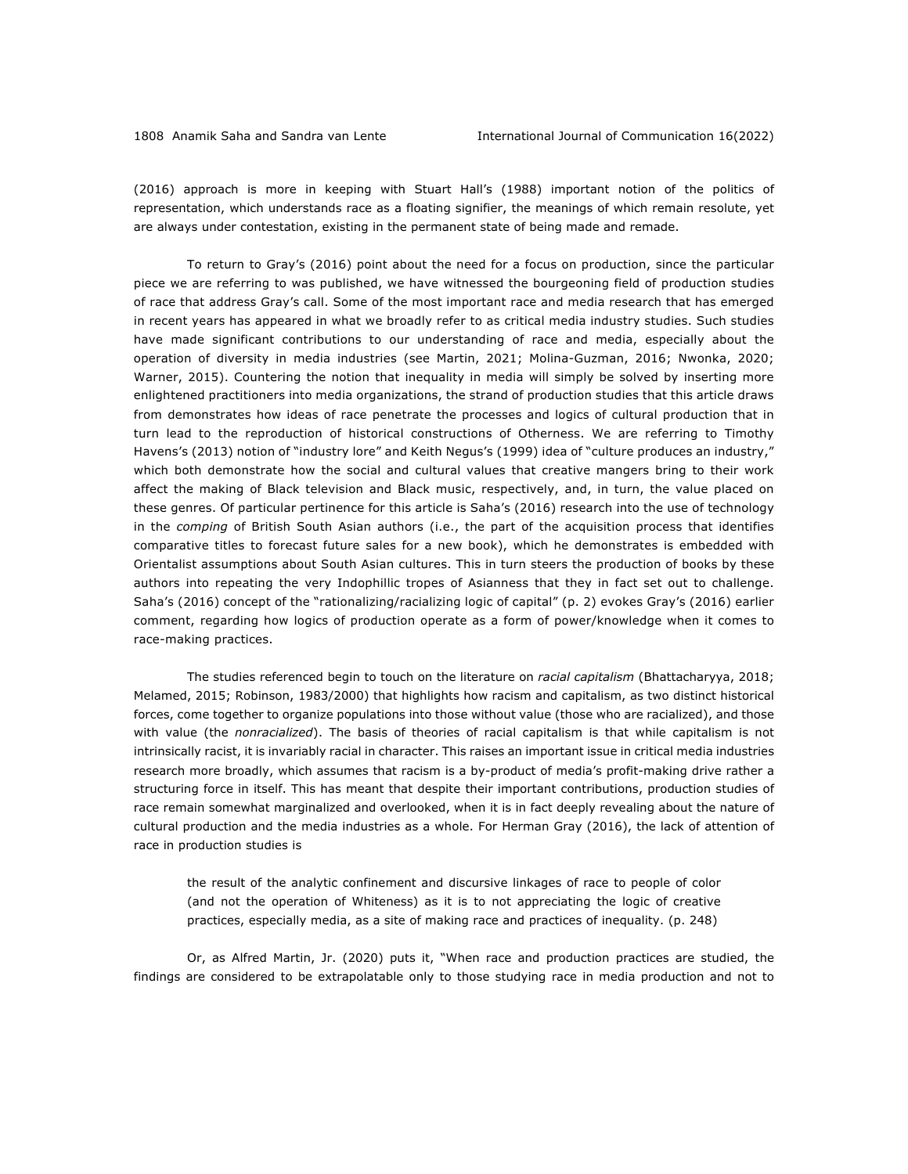(2016) approach is more in keeping with Stuart Hall's (1988) important notion of the politics of representation, which understands race as a floating signifier, the meanings of which remain resolute, yet are always under contestation, existing in the permanent state of being made and remade.

To return to Gray's (2016) point about the need for a focus on production, since the particular piece we are referring to was published, we have witnessed the bourgeoning field of production studies of race that address Gray's call. Some of the most important race and media research that has emerged in recent years has appeared in what we broadly refer to as critical media industry studies. Such studies have made significant contributions to our understanding of race and media, especially about the operation of diversity in media industries (see Martin, 2021; Molina-Guzman, 2016; Nwonka, 2020; Warner, 2015). Countering the notion that inequality in media will simply be solved by inserting more enlightened practitioners into media organizations, the strand of production studies that this article draws from demonstrates how ideas of race penetrate the processes and logics of cultural production that in turn lead to the reproduction of historical constructions of Otherness. We are referring to Timothy Havens's (2013) notion of "industry lore" and Keith Negus's (1999) idea of "culture produces an industry," which both demonstrate how the social and cultural values that creative mangers bring to their work affect the making of Black television and Black music, respectively, and, in turn, the value placed on these genres. Of particular pertinence for this article is Saha's (2016) research into the use of technology in the *comping* of British South Asian authors (i.e., the part of the acquisition process that identifies comparative titles to forecast future sales for a new book), which he demonstrates is embedded with Orientalist assumptions about South Asian cultures. This in turn steers the production of books by these authors into repeating the very Indophillic tropes of Asianness that they in fact set out to challenge. Saha's (2016) concept of the "rationalizing/racializing logic of capital" (p. 2) evokes Gray's (2016) earlier comment, regarding how logics of production operate as a form of power/knowledge when it comes to race-making practices.

The studies referenced begin to touch on the literature on *racial capitalism* (Bhattacharyya, 2018; Melamed, 2015; Robinson, 1983/2000) that highlights how racism and capitalism, as two distinct historical forces, come together to organize populations into those without value (those who are racialized), and those with value (the *nonracialized*). The basis of theories of racial capitalism is that while capitalism is not intrinsically racist, it is invariably racial in character. This raises an important issue in critical media industries research more broadly, which assumes that racism is a by-product of media's profit-making drive rather a structuring force in itself. This has meant that despite their important contributions, production studies of race remain somewhat marginalized and overlooked, when it is in fact deeply revealing about the nature of cultural production and the media industries as a whole. For Herman Gray (2016), the lack of attention of race in production studies is

the result of the analytic confinement and discursive linkages of race to people of color (and not the operation of Whiteness) as it is to not appreciating the logic of creative practices, especially media, as a site of making race and practices of inequality. (p. 248)

Or, as Alfred Martin, Jr. (2020) puts it, "When race and production practices are studied, the findings are considered to be extrapolatable only to those studying race in media production and not to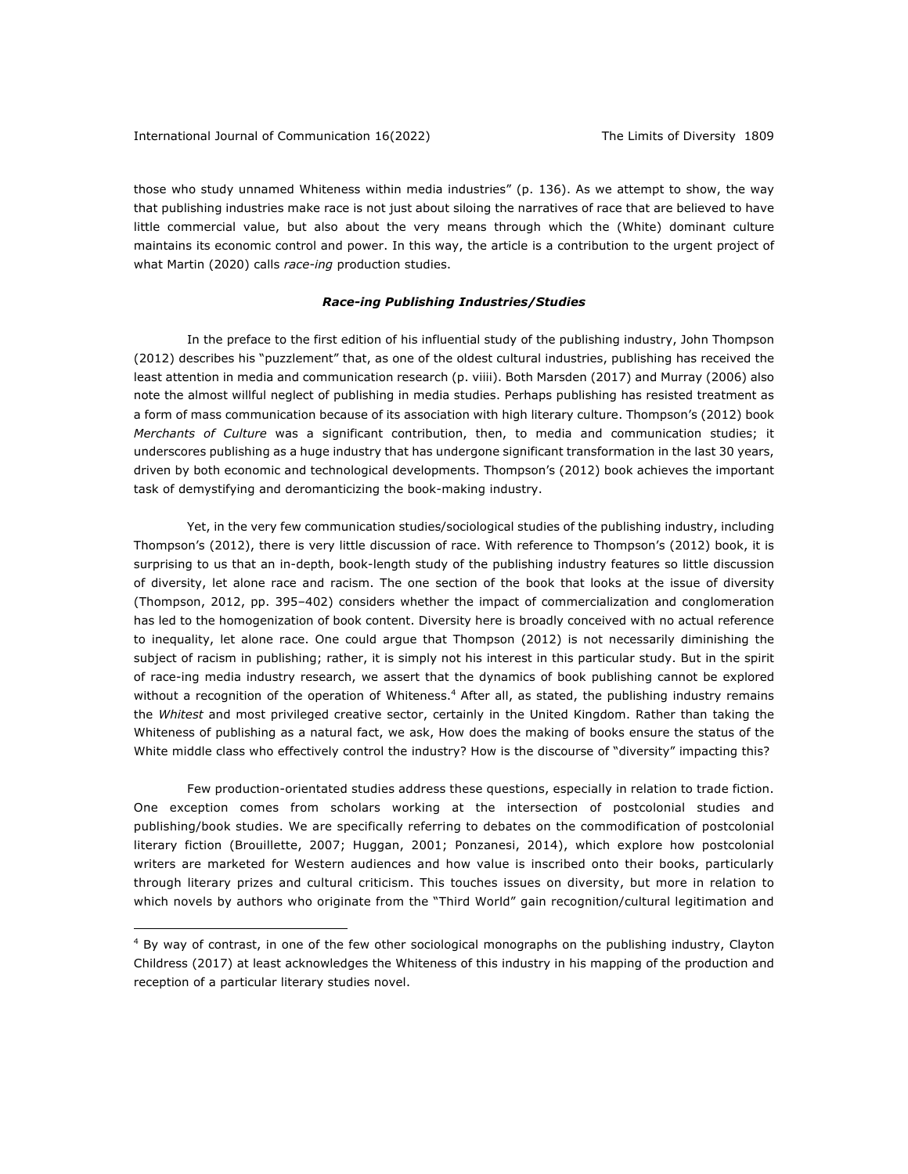those who study unnamed Whiteness within media industries" (p. 136). As we attempt to show, the way that publishing industries make race is not just about siloing the narratives of race that are believed to have little commercial value, but also about the very means through which the (White) dominant culture maintains its economic control and power. In this way, the article is a contribution to the urgent project of what Martin (2020) calls *race-ing* production studies.

## *Race-ing Publishing Industries/Studies*

In the preface to the first edition of his influential study of the publishing industry, John Thompson (2012) describes his "puzzlement" that, as one of the oldest cultural industries, publishing has received the least attention in media and communication research (p. viiii). Both Marsden (2017) and Murray (2006) also note the almost willful neglect of publishing in media studies. Perhaps publishing has resisted treatment as a form of mass communication because of its association with high literary culture. Thompson's (2012) book *Merchants of Culture* was a significant contribution, then, to media and communication studies; it underscores publishing as a huge industry that has undergone significant transformation in the last 30 years, driven by both economic and technological developments. Thompson's (2012) book achieves the important task of demystifying and deromanticizing the book-making industry.

Yet, in the very few communication studies/sociological studies of the publishing industry, including Thompson's (2012), there is very little discussion of race. With reference to Thompson's (2012) book, it is surprising to us that an in-depth, book-length study of the publishing industry features so little discussion of diversity, let alone race and racism. The one section of the book that looks at the issue of diversity (Thompson, 2012, pp. 395–402) considers whether the impact of commercialization and conglomeration has led to the homogenization of book content. Diversity here is broadly conceived with no actual reference to inequality, let alone race. One could argue that Thompson (2012) is not necessarily diminishing the subject of racism in publishing; rather, it is simply not his interest in this particular study. But in the spirit of race-ing media industry research, we assert that the dynamics of book publishing cannot be explored without a recognition of the operation of Whiteness.<sup>4</sup> After all, as stated, the publishing industry remains the *Whitest* and most privileged creative sector, certainly in the United Kingdom. Rather than taking the Whiteness of publishing as a natural fact, we ask, How does the making of books ensure the status of the White middle class who effectively control the industry? How is the discourse of "diversity" impacting this?

Few production-orientated studies address these questions, especially in relation to trade fiction. One exception comes from scholars working at the intersection of postcolonial studies and publishing/book studies. We are specifically referring to debates on the commodification of postcolonial literary fiction (Brouillette, 2007; Huggan, 2001; Ponzanesi, 2014), which explore how postcolonial writers are marketed for Western audiences and how value is inscribed onto their books, particularly through literary prizes and cultural criticism. This touches issues on diversity, but more in relation to which novels by authors who originate from the "Third World" gain recognition/cultural legitimation and

<sup>&</sup>lt;sup>4</sup> By way of contrast, in one of the few other sociological monographs on the publishing industry, Clayton Childress (2017) at least acknowledges the Whiteness of this industry in his mapping of the production and reception of a particular literary studies novel.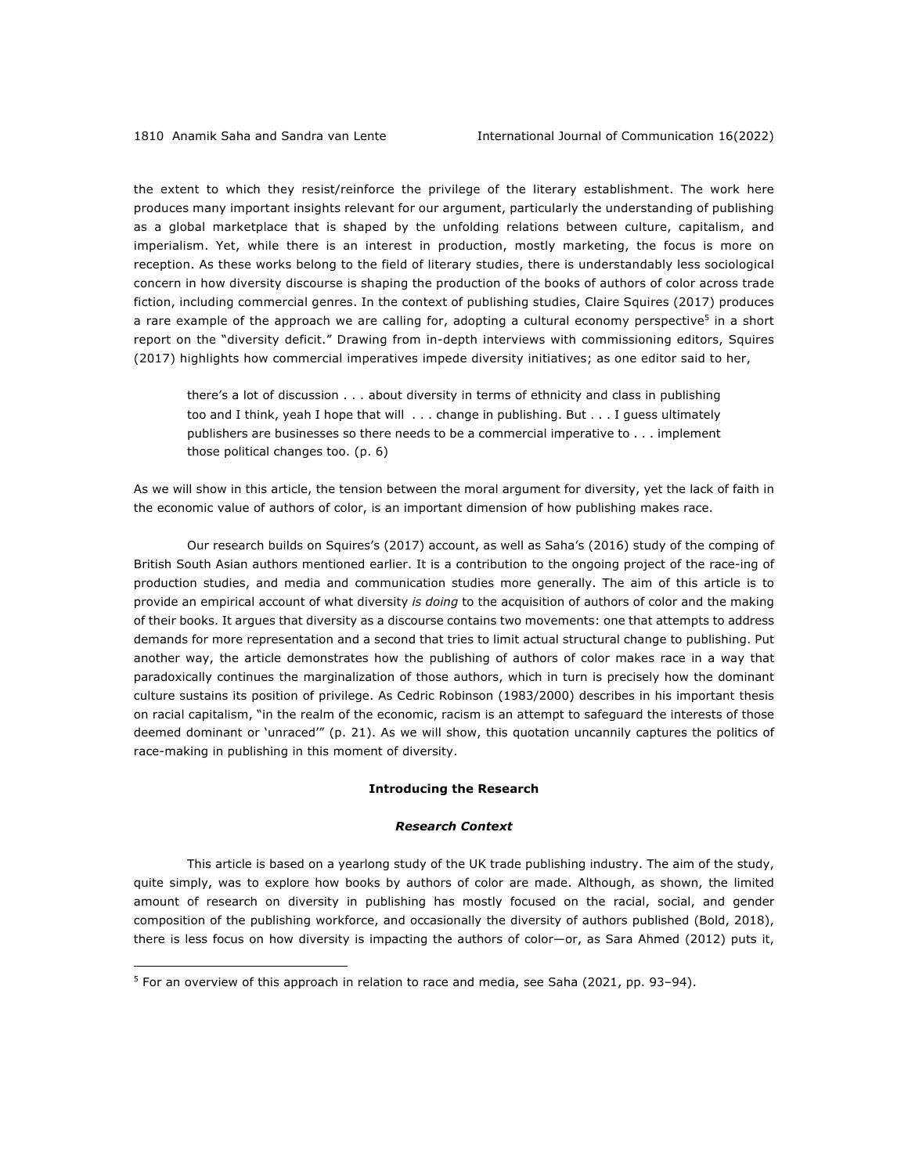the extent to which they resist/reinforce the privilege of the literary establishment. The work here produces many important insights relevant for our argument, particularly the understanding of publishing as a global marketplace that is shaped by the unfolding relations between culture, capitalism, and imperialism. Yet, while there is an interest in production, mostly marketing, the focus is more on reception. As these works belong to the field of literary studies, there is understandably less sociological concern in how diversity discourse is shaping the production of the books of authors of color across trade fiction, including commercial genres. In the context of publishing studies, Claire Squires (2017) produces a rare example of the approach we are calling for, adopting a cultural economy perspective<sup>5</sup> in a short report on the "diversity deficit." Drawing from in-depth interviews with commissioning editors, Squires (2017) highlights how commercial imperatives impede diversity initiatives; as one editor said to her,

there's a lot of discussion . . . about diversity in terms of ethnicity and class in publishing too and I think, yeah I hope that will . . . change in publishing. But . . . I guess ultimately publishers are businesses so there needs to be a commercial imperative to . . . implement those political changes too. (p. 6)

As we will show in this article, the tension between the moral argument for diversity, yet the lack of faith in the economic value of authors of color, is an important dimension of how publishing makes race.

Our research builds on Squires's (2017) account, as well as Saha's (2016) study of the comping of British South Asian authors mentioned earlier. It is a contribution to the ongoing project of the race-ing of production studies, and media and communication studies more generally. The aim of this article is to provide an empirical account of what diversity *is doing* to the acquisition of authors of color and the making of their books. It argues that diversity as a discourse contains two movements: one that attempts to address demands for more representation and a second that tries to limit actual structural change to publishing. Put another way, the article demonstrates how the publishing of authors of color makes race in a way that paradoxically continues the marginalization of those authors, which in turn is precisely how the dominant culture sustains its position of privilege. As Cedric Robinson (1983/2000) describes in his important thesis on racial capitalism, "in the realm of the economic, racism is an attempt to safeguard the interests of those deemed dominant or 'unraced'" (p. 21). As we will show, this quotation uncannily captures the politics of race-making in publishing in this moment of diversity.

#### **Introducing the Research**

#### *Research Context*

This article is based on a yearlong study of the UK trade publishing industry. The aim of the study, quite simply, was to explore how books by authors of color are made. Although, as shown, the limited amount of research on diversity in publishing has mostly focused on the racial, social, and gender composition of the publishing workforce, and occasionally the diversity of authors published (Bold, 2018), there is less focus on how diversity is impacting the authors of color—or, as Sara Ahmed (2012) puts it,

 $5$  For an overview of this approach in relation to race and media, see Saha (2021, pp. 93–94).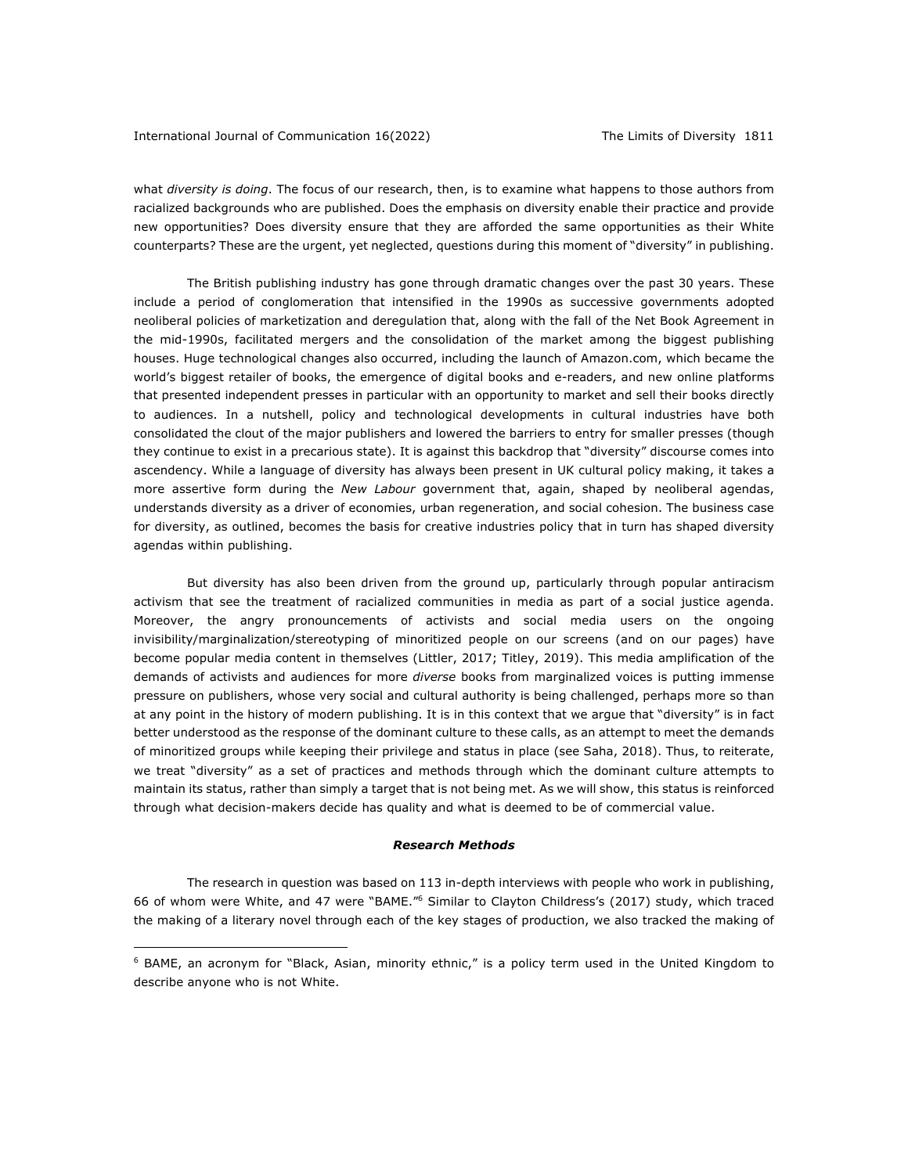what *diversity is doing*. The focus of our research, then, is to examine what happens to those authors from racialized backgrounds who are published. Does the emphasis on diversity enable their practice and provide new opportunities? Does diversity ensure that they are afforded the same opportunities as their White counterparts? These are the urgent, yet neglected, questions during this moment of "diversity" in publishing.

The British publishing industry has gone through dramatic changes over the past 30 years. These include a period of conglomeration that intensified in the 1990s as successive governments adopted neoliberal policies of marketization and deregulation that, along with the fall of the Net Book Agreement in the mid-1990s, facilitated mergers and the consolidation of the market among the biggest publishing houses. Huge technological changes also occurred, including the launch of Amazon.com, which became the world's biggest retailer of books, the emergence of digital books and e-readers, and new online platforms that presented independent presses in particular with an opportunity to market and sell their books directly to audiences. In a nutshell, policy and technological developments in cultural industries have both consolidated the clout of the major publishers and lowered the barriers to entry for smaller presses (though they continue to exist in a precarious state). It is against this backdrop that "diversity" discourse comes into ascendency. While a language of diversity has always been present in UK cultural policy making, it takes a more assertive form during the *New Labour* government that, again, shaped by neoliberal agendas, understands diversity as a driver of economies, urban regeneration, and social cohesion. The business case for diversity, as outlined, becomes the basis for creative industries policy that in turn has shaped diversity agendas within publishing.

But diversity has also been driven from the ground up, particularly through popular antiracism activism that see the treatment of racialized communities in media as part of a social justice agenda. Moreover, the angry pronouncements of activists and social media users on the ongoing invisibility/marginalization/stereotyping of minoritized people on our screens (and on our pages) have become popular media content in themselves (Littler, 2017; Titley, 2019). This media amplification of the demands of activists and audiences for more *diverse* books from marginalized voices is putting immense pressure on publishers, whose very social and cultural authority is being challenged, perhaps more so than at any point in the history of modern publishing. It is in this context that we argue that "diversity" is in fact better understood as the response of the dominant culture to these calls, as an attempt to meet the demands of minoritized groups while keeping their privilege and status in place (see Saha, 2018). Thus, to reiterate, we treat "diversity" as a set of practices and methods through which the dominant culture attempts to maintain its status, rather than simply a target that is not being met. As we will show, this status is reinforced through what decision-makers decide has quality and what is deemed to be of commercial value.

#### *Research Methods*

The research in question was based on 113 in-depth interviews with people who work in publishing, 66 of whom were White, and 47 were "BAME."6 Similar to Clayton Childress's (2017) study, which traced the making of a literary novel through each of the key stages of production, we also tracked the making of

<sup>&</sup>lt;sup>6</sup> BAME, an acronym for "Black, Asian, minority ethnic," is a policy term used in the United Kingdom to describe anyone who is not White.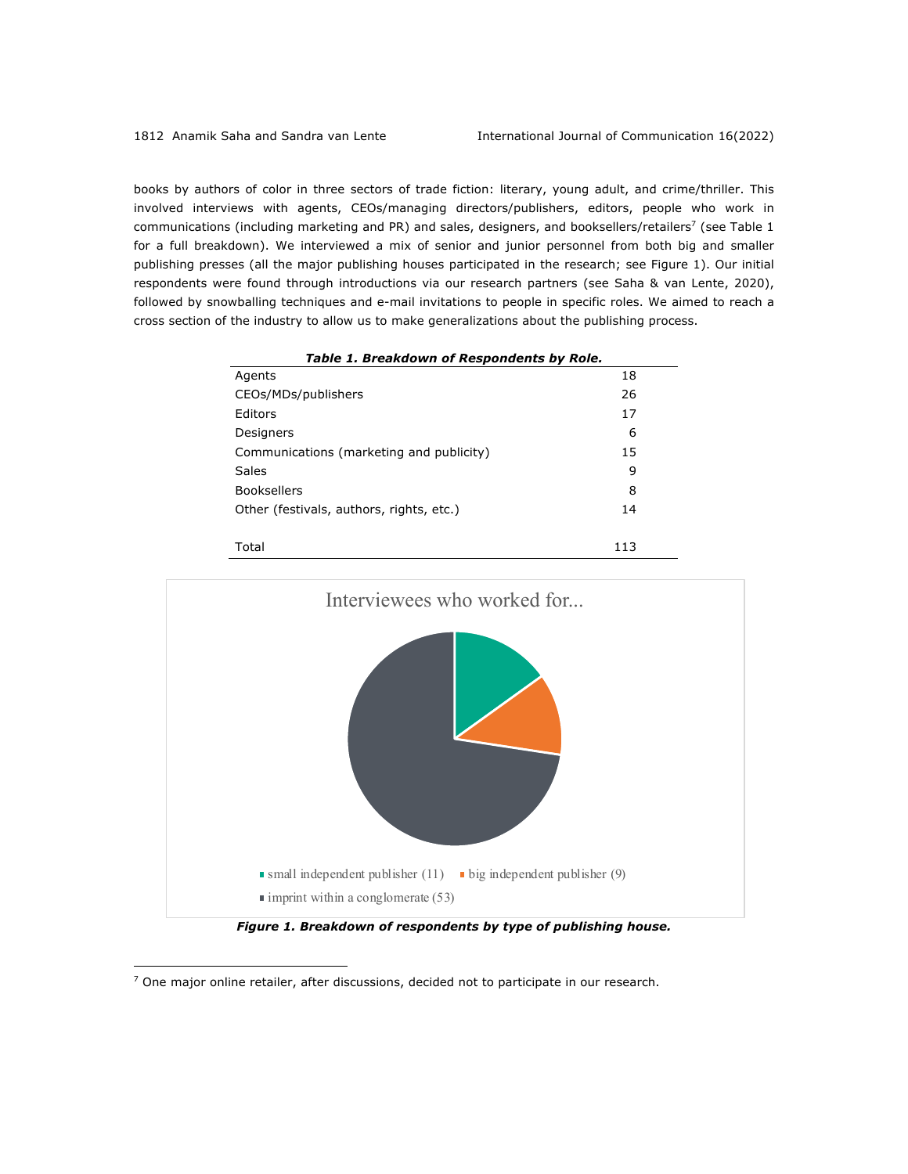books by authors of color in three sectors of trade fiction: literary, young adult, and crime/thriller. This involved interviews with agents, CEOs/managing directors/publishers, editors, people who work in communications (including marketing and PR) and sales, designers, and booksellers/retailers<sup>7</sup> (see Table 1 for a full breakdown). We interviewed a mix of senior and junior personnel from both big and smaller publishing presses (all the major publishing houses participated in the research; see Figure 1). Our initial respondents were found through introductions via our research partners (see Saha & van Lente, 2020), followed by snowballing techniques and e-mail invitations to people in specific roles. We aimed to reach a cross section of the industry to allow us to make generalizations about the publishing process.

| Table 1. Breakdown of Respondents by Role. |     |
|--------------------------------------------|-----|
| Agents                                     | 18  |
| CEOs/MDs/publishers                        | 26  |
| Editors                                    | 17  |
| Designers                                  | 6   |
| Communications (marketing and publicity)   | 15  |
| Sales                                      | 9   |
| <b>Booksellers</b>                         | 8   |
| Other (festivals, authors, rights, etc.)   | 14  |
|                                            |     |
| Total                                      | 113 |



*Figure 1. Breakdown of respondents by type of publishing house.*

 $<sup>7</sup>$  One major online retailer, after discussions, decided not to participate in our research.</sup>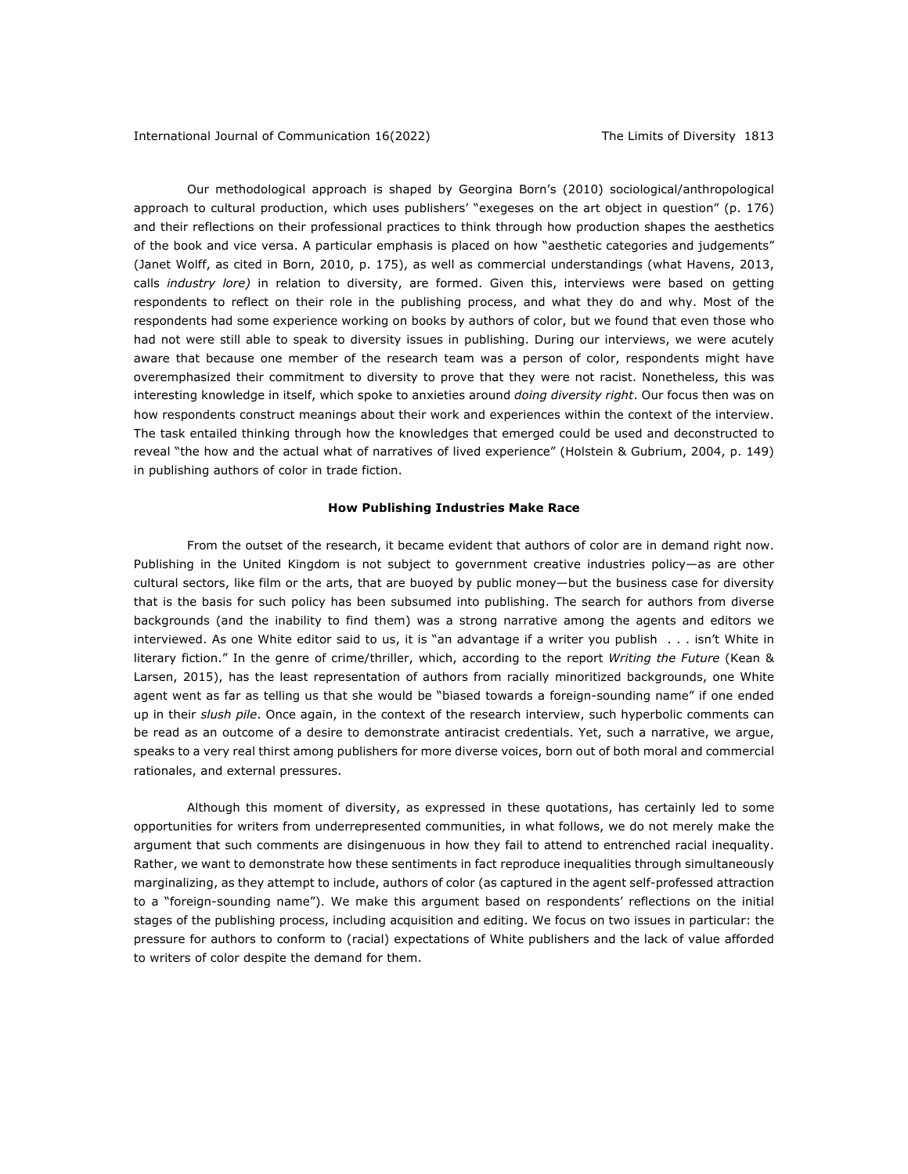Our methodological approach is shaped by Georgina Born's (2010) sociological/anthropological approach to cultural production, which uses publishers' "exegeses on the art object in question" (p. 176) and their reflections on their professional practices to think through how production shapes the aesthetics of the book and vice versa. A particular emphasis is placed on how "aesthetic categories and judgements" (Janet Wolff, as cited in Born, 2010, p. 175), as well as commercial understandings (what Havens, 2013, calls *industry lore)* in relation to diversity, are formed. Given this, interviews were based on getting respondents to reflect on their role in the publishing process, and what they do and why. Most of the respondents had some experience working on books by authors of color, but we found that even those who had not were still able to speak to diversity issues in publishing. During our interviews, we were acutely aware that because one member of the research team was a person of color, respondents might have overemphasized their commitment to diversity to prove that they were not racist. Nonetheless, this was interesting knowledge in itself, which spoke to anxieties around *doing diversity right*. Our focus then was on how respondents construct meanings about their work and experiences within the context of the interview. The task entailed thinking through how the knowledges that emerged could be used and deconstructed to reveal "the how and the actual what of narratives of lived experience" (Holstein & Gubrium, 2004, p. 149) in publishing authors of color in trade fiction.

#### **How Publishing Industries Make Race**

From the outset of the research, it became evident that authors of color are in demand right now. Publishing in the United Kingdom is not subject to government creative industries policy—as are other cultural sectors, like film or the arts, that are buoyed by public money—but the business case for diversity that is the basis for such policy has been subsumed into publishing. The search for authors from diverse backgrounds (and the inability to find them) was a strong narrative among the agents and editors we interviewed. As one White editor said to us, it is "an advantage if a writer you publish . . . isn't White in literary fiction." In the genre of crime/thriller, which, according to the report *Writing the Future* (Kean & Larsen, 2015), has the least representation of authors from racially minoritized backgrounds, one White agent went as far as telling us that she would be "biased towards a foreign-sounding name" if one ended up in their *slush pile*. Once again, in the context of the research interview, such hyperbolic comments can be read as an outcome of a desire to demonstrate antiracist credentials. Yet, such a narrative, we argue, speaks to a very real thirst among publishers for more diverse voices, born out of both moral and commercial rationales, and external pressures.

Although this moment of diversity, as expressed in these quotations, has certainly led to some opportunities for writers from underrepresented communities, in what follows, we do not merely make the argument that such comments are disingenuous in how they fail to attend to entrenched racial inequality. Rather, we want to demonstrate how these sentiments in fact reproduce inequalities through simultaneously marginalizing, as they attempt to include, authors of color (as captured in the agent self-professed attraction to a "foreign-sounding name"). We make this argument based on respondents' reflections on the initial stages of the publishing process, including acquisition and editing. We focus on two issues in particular: the pressure for authors to conform to (racial) expectations of White publishers and the lack of value afforded to writers of color despite the demand for them.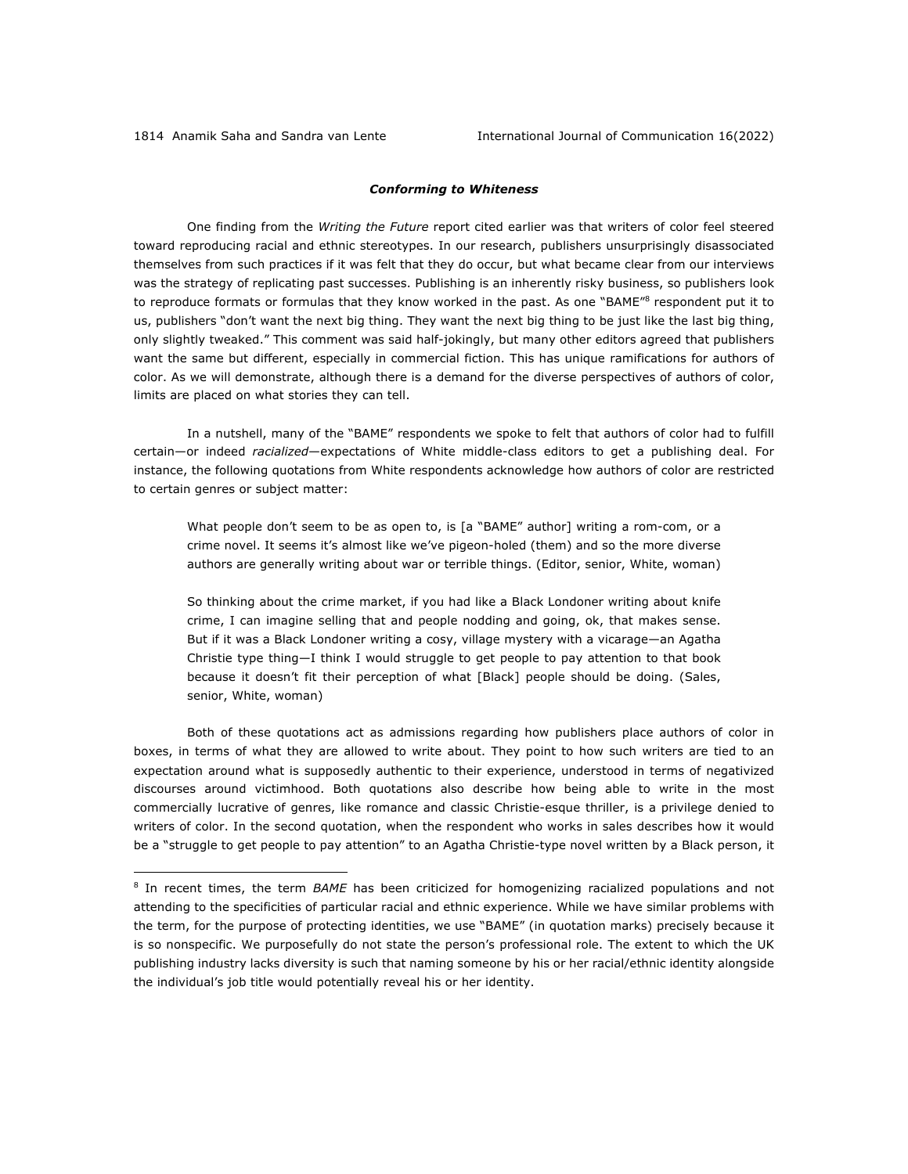### *Conforming to Whiteness*

One finding from the *Writing the Future* report cited earlier was that writers of color feel steered toward reproducing racial and ethnic stereotypes. In our research, publishers unsurprisingly disassociated themselves from such practices if it was felt that they do occur, but what became clear from our interviews was the strategy of replicating past successes. Publishing is an inherently risky business, so publishers look to reproduce formats or formulas that they know worked in the past. As one "BAME"<sup>8</sup> respondent put it to us, publishers "don't want the next big thing. They want the next big thing to be just like the last big thing, only slightly tweaked." This comment was said half-jokingly, but many other editors agreed that publishers want the same but different, especially in commercial fiction. This has unique ramifications for authors of color. As we will demonstrate, although there is a demand for the diverse perspectives of authors of color, limits are placed on what stories they can tell.

In a nutshell, many of the "BAME" respondents we spoke to felt that authors of color had to fulfill certain—or indeed *racialized*—expectations of White middle-class editors to get a publishing deal. For instance, the following quotations from White respondents acknowledge how authors of color are restricted to certain genres or subject matter:

What people don't seem to be as open to, is [a "BAME" author] writing a rom-com, or a crime novel. It seems it's almost like we've pigeon-holed (them) and so the more diverse authors are generally writing about war or terrible things. (Editor, senior, White, woman)

So thinking about the crime market, if you had like a Black Londoner writing about knife crime, I can imagine selling that and people nodding and going, ok, that makes sense. But if it was a Black Londoner writing a cosy, village mystery with a vicarage—an Agatha Christie type thing—I think I would struggle to get people to pay attention to that book because it doesn't fit their perception of what [Black] people should be doing. (Sales, senior, White, woman)

Both of these quotations act as admissions regarding how publishers place authors of color in boxes, in terms of what they are allowed to write about. They point to how such writers are tied to an expectation around what is supposedly authentic to their experience, understood in terms of negativized discourses around victimhood. Both quotations also describe how being able to write in the most commercially lucrative of genres, like romance and classic Christie-esque thriller, is a privilege denied to writers of color. In the second quotation, when the respondent who works in sales describes how it would be a "struggle to get people to pay attention" to an Agatha Christie-type novel written by a Black person, it

<sup>8</sup> In recent times, the term *BAME* has been criticized for homogenizing racialized populations and not attending to the specificities of particular racial and ethnic experience. While we have similar problems with the term, for the purpose of protecting identities, we use "BAME" (in quotation marks) precisely because it is so nonspecific. We purposefully do not state the person's professional role. The extent to which the UK publishing industry lacks diversity is such that naming someone by his or her racial/ethnic identity alongside the individual's job title would potentially reveal his or her identity.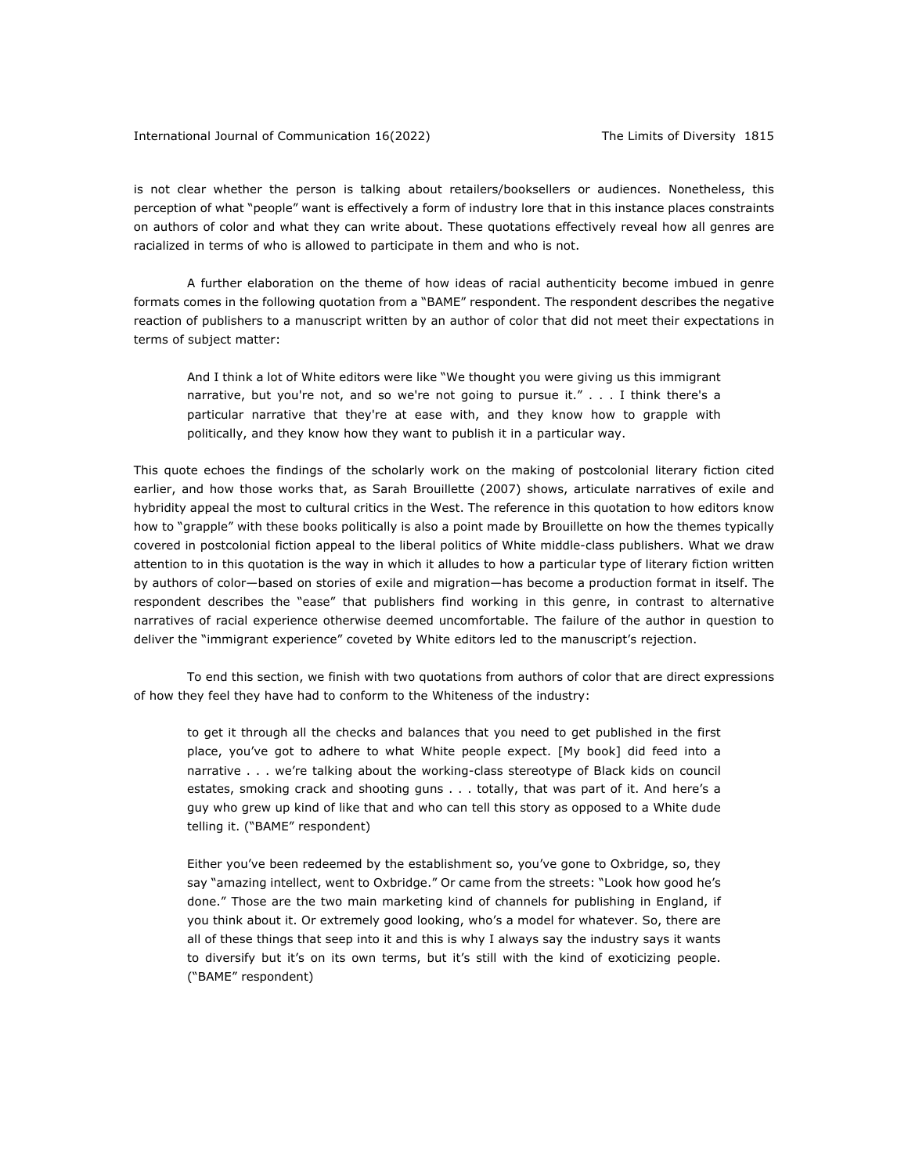#### International Journal of Communication 16(2022) The Limits of Diversity 1815

is not clear whether the person is talking about retailers/booksellers or audiences. Nonetheless, this perception of what "people" want is effectively a form of industry lore that in this instance places constraints on authors of color and what they can write about. These quotations effectively reveal how all genres are racialized in terms of who is allowed to participate in them and who is not.

A further elaboration on the theme of how ideas of racial authenticity become imbued in genre formats comes in the following quotation from a "BAME" respondent. The respondent describes the negative reaction of publishers to a manuscript written by an author of color that did not meet their expectations in terms of subject matter:

And I think a lot of White editors were like "We thought you were giving us this immigrant narrative, but you're not, and so we're not going to pursue it." . . . I think there's a particular narrative that they're at ease with, and they know how to grapple with politically, and they know how they want to publish it in a particular way.

This quote echoes the findings of the scholarly work on the making of postcolonial literary fiction cited earlier, and how those works that, as Sarah Brouillette (2007) shows, articulate narratives of exile and hybridity appeal the most to cultural critics in the West. The reference in this quotation to how editors know how to "grapple" with these books politically is also a point made by Brouillette on how the themes typically covered in postcolonial fiction appeal to the liberal politics of White middle-class publishers. What we draw attention to in this quotation is the way in which it alludes to how a particular type of literary fiction written by authors of color—based on stories of exile and migration—has become a production format in itself. The respondent describes the "ease" that publishers find working in this genre, in contrast to alternative narratives of racial experience otherwise deemed uncomfortable. The failure of the author in question to deliver the "immigrant experience" coveted by White editors led to the manuscript's rejection.

To end this section, we finish with two quotations from authors of color that are direct expressions of how they feel they have had to conform to the Whiteness of the industry:

to get it through all the checks and balances that you need to get published in the first place, you've got to adhere to what White people expect. [My book] did feed into a narrative . . . we're talking about the working-class stereotype of Black kids on council estates, smoking crack and shooting guns . . . totally, that was part of it. And here's a guy who grew up kind of like that and who can tell this story as opposed to a White dude telling it. ("BAME" respondent)

Either you've been redeemed by the establishment so, you've gone to Oxbridge, so, they say "amazing intellect, went to Oxbridge." Or came from the streets: "Look how good he's done." Those are the two main marketing kind of channels for publishing in England, if you think about it. Or extremely good looking, who's a model for whatever. So, there are all of these things that seep into it and this is why I always say the industry says it wants to diversify but it's on its own terms, but it's still with the kind of exoticizing people. ("BAME" respondent)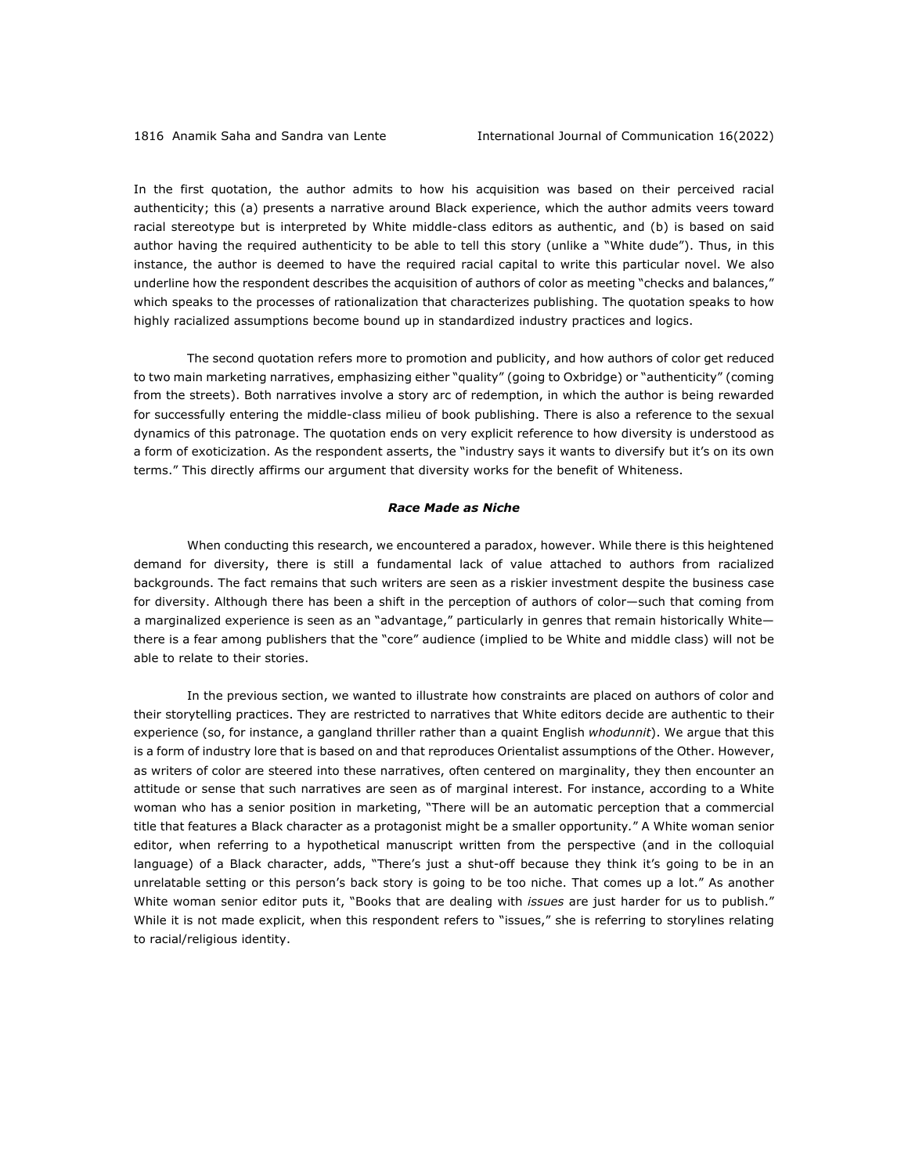In the first quotation, the author admits to how his acquisition was based on their perceived racial authenticity; this (a) presents a narrative around Black experience, which the author admits veers toward racial stereotype but is interpreted by White middle-class editors as authentic, and (b) is based on said author having the required authenticity to be able to tell this story (unlike a "White dude"). Thus, in this instance, the author is deemed to have the required racial capital to write this particular novel. We also underline how the respondent describes the acquisition of authors of color as meeting "checks and balances," which speaks to the processes of rationalization that characterizes publishing. The quotation speaks to how highly racialized assumptions become bound up in standardized industry practices and logics.

The second quotation refers more to promotion and publicity, and how authors of color get reduced to two main marketing narratives, emphasizing either "quality" (going to Oxbridge) or "authenticity" (coming from the streets). Both narratives involve a story arc of redemption, in which the author is being rewarded for successfully entering the middle-class milieu of book publishing. There is also a reference to the sexual dynamics of this patronage. The quotation ends on very explicit reference to how diversity is understood as a form of exoticization. As the respondent asserts, the "industry says it wants to diversify but it's on its own terms." This directly affirms our argument that diversity works for the benefit of Whiteness.

#### *Race Made as Niche*

When conducting this research, we encountered a paradox, however. While there is this heightened demand for diversity, there is still a fundamental lack of value attached to authors from racialized backgrounds. The fact remains that such writers are seen as a riskier investment despite the business case for diversity. Although there has been a shift in the perception of authors of color—such that coming from a marginalized experience is seen as an "advantage," particularly in genres that remain historically White there is a fear among publishers that the "core" audience (implied to be White and middle class) will not be able to relate to their stories.

In the previous section, we wanted to illustrate how constraints are placed on authors of color and their storytelling practices. They are restricted to narratives that White editors decide are authentic to their experience (so, for instance, a gangland thriller rather than a quaint English *whodunnit*). We argue that this is a form of industry lore that is based on and that reproduces Orientalist assumptions of the Other. However, as writers of color are steered into these narratives, often centered on marginality, they then encounter an attitude or sense that such narratives are seen as of marginal interest. For instance, according to a White woman who has a senior position in marketing, "There will be an automatic perception that a commercial title that features a Black character as a protagonist might be a smaller opportunity*.*" A White woman senior editor, when referring to a hypothetical manuscript written from the perspective (and in the colloquial language) of a Black character, adds, "There's just a shut-off because they think it's going to be in an unrelatable setting or this person's back story is going to be too niche. That comes up a lot." As another White woman senior editor puts it, "Books that are dealing with *issues* are just harder for us to publish." While it is not made explicit, when this respondent refers to "issues," she is referring to storylines relating to racial/religious identity.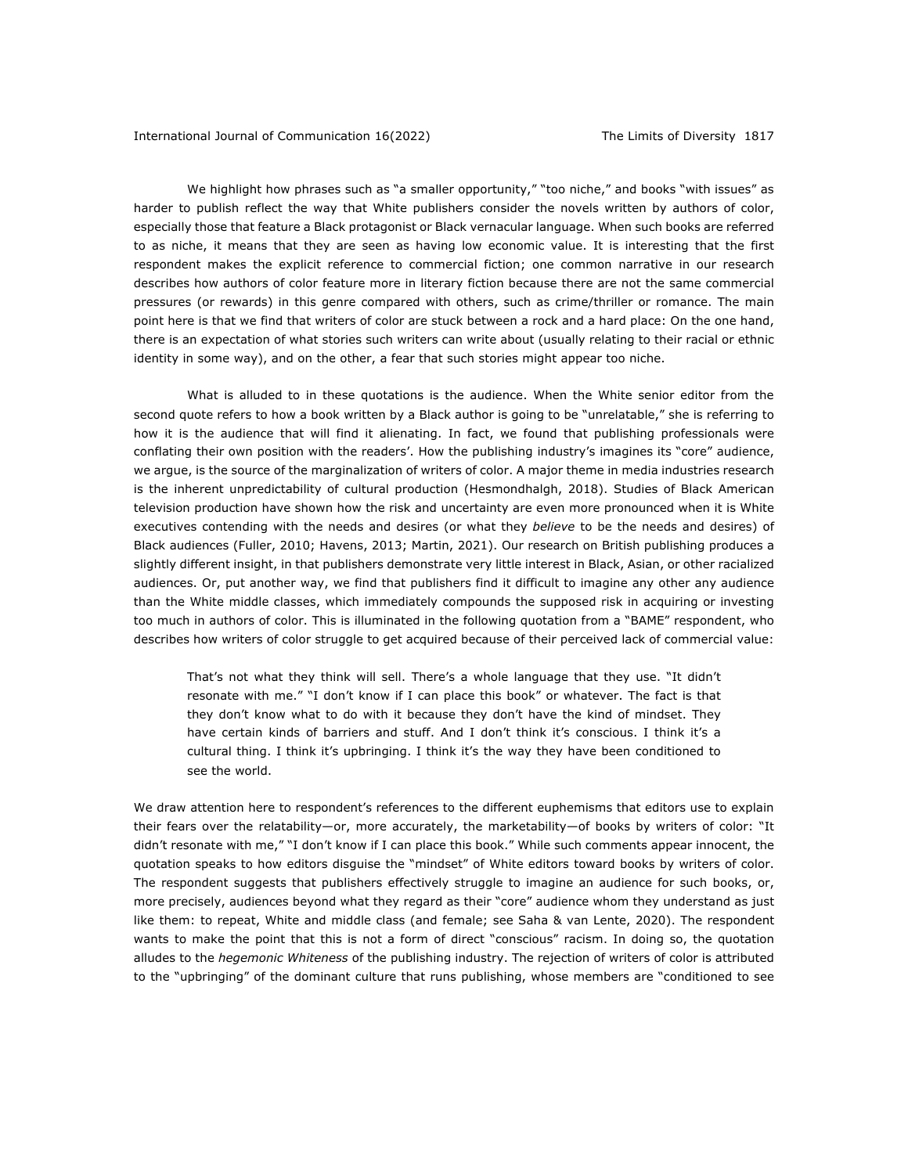We highlight how phrases such as "a smaller opportunity," "too niche," and books "with issues" as harder to publish reflect the way that White publishers consider the novels written by authors of color, especially those that feature a Black protagonist or Black vernacular language. When such books are referred to as niche, it means that they are seen as having low economic value. It is interesting that the first respondent makes the explicit reference to commercial fiction; one common narrative in our research describes how authors of color feature more in literary fiction because there are not the same commercial pressures (or rewards) in this genre compared with others, such as crime/thriller or romance. The main point here is that we find that writers of color are stuck between a rock and a hard place: On the one hand, there is an expectation of what stories such writers can write about (usually relating to their racial or ethnic identity in some way), and on the other, a fear that such stories might appear too niche.

What is alluded to in these quotations is the audience. When the White senior editor from the second quote refers to how a book written by a Black author is going to be "unrelatable," she is referring to how it is the audience that will find it alienating. In fact, we found that publishing professionals were conflating their own position with the readers'. How the publishing industry's imagines its "core" audience, we argue, is the source of the marginalization of writers of color. A major theme in media industries research is the inherent unpredictability of cultural production (Hesmondhalgh, 2018). Studies of Black American television production have shown how the risk and uncertainty are even more pronounced when it is White executives contending with the needs and desires (or what they *believe* to be the needs and desires) of Black audiences (Fuller, 2010; Havens, 2013; Martin, 2021). Our research on British publishing produces a slightly different insight, in that publishers demonstrate very little interest in Black, Asian, or other racialized audiences. Or, put another way, we find that publishers find it difficult to imagine any other any audience than the White middle classes, which immediately compounds the supposed risk in acquiring or investing too much in authors of color. This is illuminated in the following quotation from a "BAME" respondent, who describes how writers of color struggle to get acquired because of their perceived lack of commercial value:

That's not what they think will sell. There's a whole language that they use. "It didn't resonate with me." "I don't know if I can place this book" or whatever. The fact is that they don't know what to do with it because they don't have the kind of mindset. They have certain kinds of barriers and stuff. And I don't think it's conscious. I think it's a cultural thing. I think it's upbringing. I think it's the way they have been conditioned to see the world.

We draw attention here to respondent's references to the different euphemisms that editors use to explain their fears over the relatability—or, more accurately, the marketability—of books by writers of color: "It didn't resonate with me," "I don't know if I can place this book." While such comments appear innocent, the quotation speaks to how editors disguise the "mindset" of White editors toward books by writers of color. The respondent suggests that publishers effectively struggle to imagine an audience for such books, or, more precisely, audiences beyond what they regard as their "core" audience whom they understand as just like them: to repeat, White and middle class (and female; see Saha & van Lente, 2020). The respondent wants to make the point that this is not a form of direct "conscious" racism. In doing so, the quotation alludes to the *hegemonic Whiteness* of the publishing industry. The rejection of writers of color is attributed to the "upbringing" of the dominant culture that runs publishing, whose members are "conditioned to see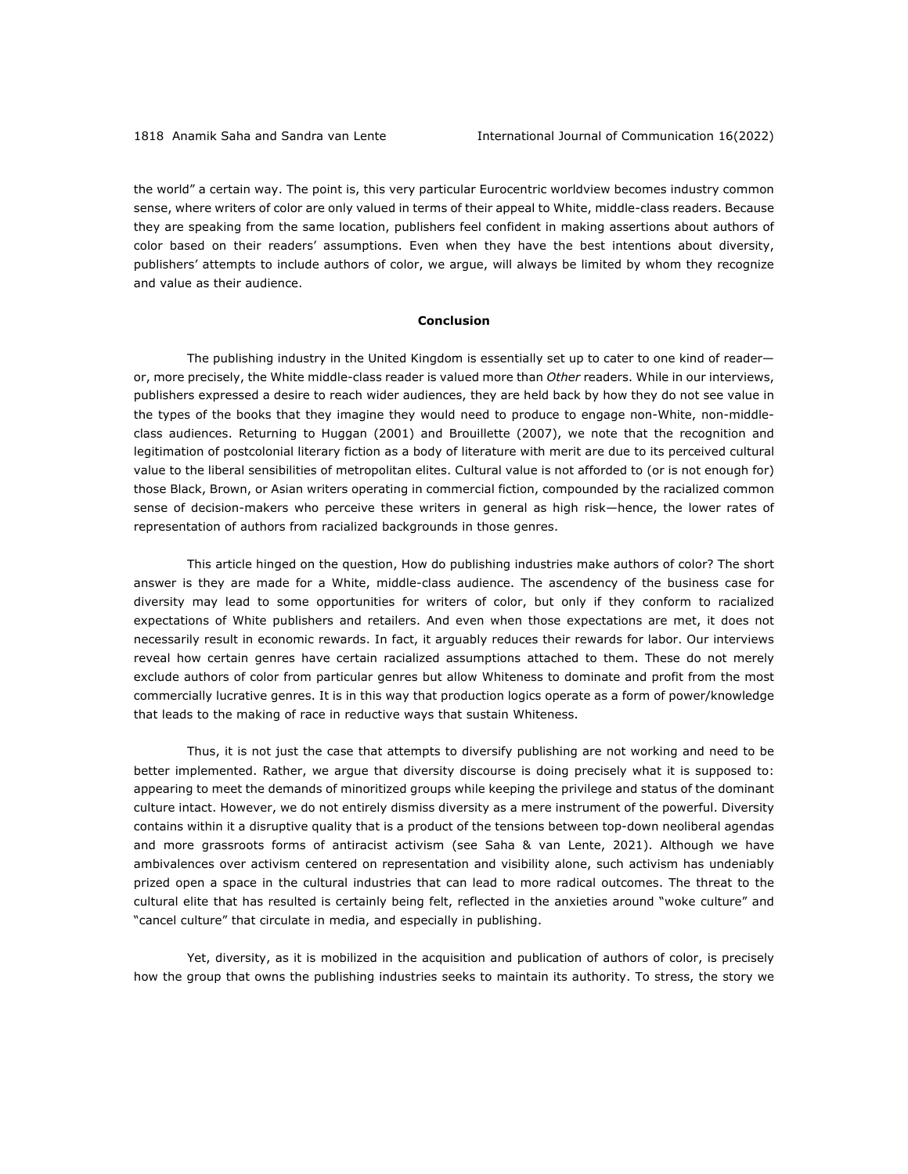the world" a certain way. The point is, this very particular Eurocentric worldview becomes industry common sense, where writers of color are only valued in terms of their appeal to White, middle-class readers. Because they are speaking from the same location, publishers feel confident in making assertions about authors of color based on their readers' assumptions. Even when they have the best intentions about diversity, publishers' attempts to include authors of color, we argue, will always be limited by whom they recognize and value as their audience.

#### **Conclusion**

The publishing industry in the United Kingdom is essentially set up to cater to one kind of reader or, more precisely, the White middle-class reader is valued more than *Other* readers. While in our interviews, publishers expressed a desire to reach wider audiences, they are held back by how they do not see value in the types of the books that they imagine they would need to produce to engage non-White, non-middleclass audiences. Returning to Huggan (2001) and Brouillette (2007), we note that the recognition and legitimation of postcolonial literary fiction as a body of literature with merit are due to its perceived cultural value to the liberal sensibilities of metropolitan elites. Cultural value is not afforded to (or is not enough for) those Black, Brown, or Asian writers operating in commercial fiction, compounded by the racialized common sense of decision-makers who perceive these writers in general as high risk—hence, the lower rates of representation of authors from racialized backgrounds in those genres.

This article hinged on the question, How do publishing industries make authors of color? The short answer is they are made for a White, middle-class audience. The ascendency of the business case for diversity may lead to some opportunities for writers of color, but only if they conform to racialized expectations of White publishers and retailers. And even when those expectations are met, it does not necessarily result in economic rewards. In fact, it arguably reduces their rewards for labor. Our interviews reveal how certain genres have certain racialized assumptions attached to them. These do not merely exclude authors of color from particular genres but allow Whiteness to dominate and profit from the most commercially lucrative genres. It is in this way that production logics operate as a form of power/knowledge that leads to the making of race in reductive ways that sustain Whiteness.

Thus, it is not just the case that attempts to diversify publishing are not working and need to be better implemented. Rather, we argue that diversity discourse is doing precisely what it is supposed to: appearing to meet the demands of minoritized groups while keeping the privilege and status of the dominant culture intact. However, we do not entirely dismiss diversity as a mere instrument of the powerful. Diversity contains within it a disruptive quality that is a product of the tensions between top-down neoliberal agendas and more grassroots forms of antiracist activism (see Saha & van Lente, 2021). Although we have ambivalences over activism centered on representation and visibility alone, such activism has undeniably prized open a space in the cultural industries that can lead to more radical outcomes. The threat to the cultural elite that has resulted is certainly being felt, reflected in the anxieties around "woke culture" and "cancel culture" that circulate in media, and especially in publishing.

Yet, diversity, as it is mobilized in the acquisition and publication of authors of color, is precisely how the group that owns the publishing industries seeks to maintain its authority. To stress, the story we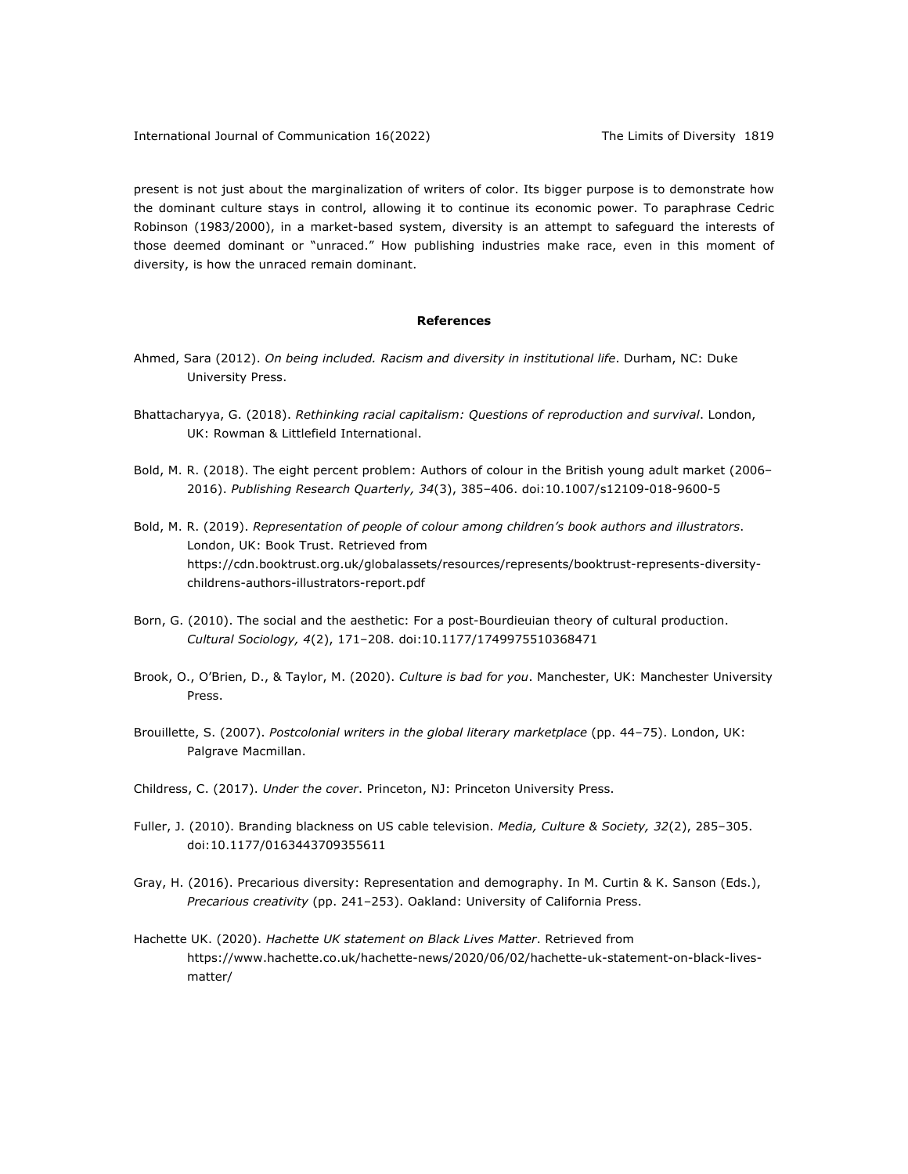present is not just about the marginalization of writers of color. Its bigger purpose is to demonstrate how the dominant culture stays in control, allowing it to continue its economic power. To paraphrase Cedric Robinson (1983/2000), in a market-based system, diversity is an attempt to safeguard the interests of those deemed dominant or "unraced." How publishing industries make race, even in this moment of diversity, is how the unraced remain dominant.

#### **References**

- Ahmed, Sara (2012). *On being included. Racism and diversity in institutional life*. Durham, NC: Duke University Press.
- Bhattacharyya, G. (2018). *Rethinking racial capitalism: Questions of reproduction and survival*. London, UK: Rowman & Littlefield International.
- Bold, M. R. (2018). The eight percent problem: Authors of colour in the British young adult market (2006– 2016). *Publishing Research Quarterly, 34*(3), 385–406. doi:10.1007/s12109-018-9600-5
- Bold, M. R. (2019). *Representation of people of colour among children's book authors and illustrators*. London, UK: Book Trust. Retrieved from https://cdn.booktrust.org.uk/globalassets/resources/represents/booktrust-represents-diversitychildrens-authors-illustrators-report.pdf
- Born, G. (2010). The social and the aesthetic: For a post-Bourdieuian theory of cultural production. *Cultural Sociology, 4*(2), 171–208. doi:10.1177/1749975510368471
- Brook, O., O'Brien, D., & Taylor, M. (2020). *Culture is bad for you*. Manchester, UK: Manchester University Press.
- Brouillette, S. (2007). *Postcolonial writers in the global literary marketplace* (pp. 44–75). London, UK: Palgrave Macmillan.
- Childress, C. (2017). *Under the cover*. Princeton, NJ: Princeton University Press.
- Fuller, J. (2010). Branding blackness on US cable television. *Media, Culture & Society, 32*(2), 285–305. doi:10.1177/0163443709355611
- Gray, H. (2016). Precarious diversity: Representation and demography. In M. Curtin & K. Sanson (Eds.), *Precarious creativity* (pp. 241–253). Oakland: University of California Press.
- Hachette UK. (2020). *Hachette UK statement on Black Lives Matter*. Retrieved from https://www.hachette.co.uk/hachette-news/2020/06/02/hachette-uk-statement-on-black-livesmatter/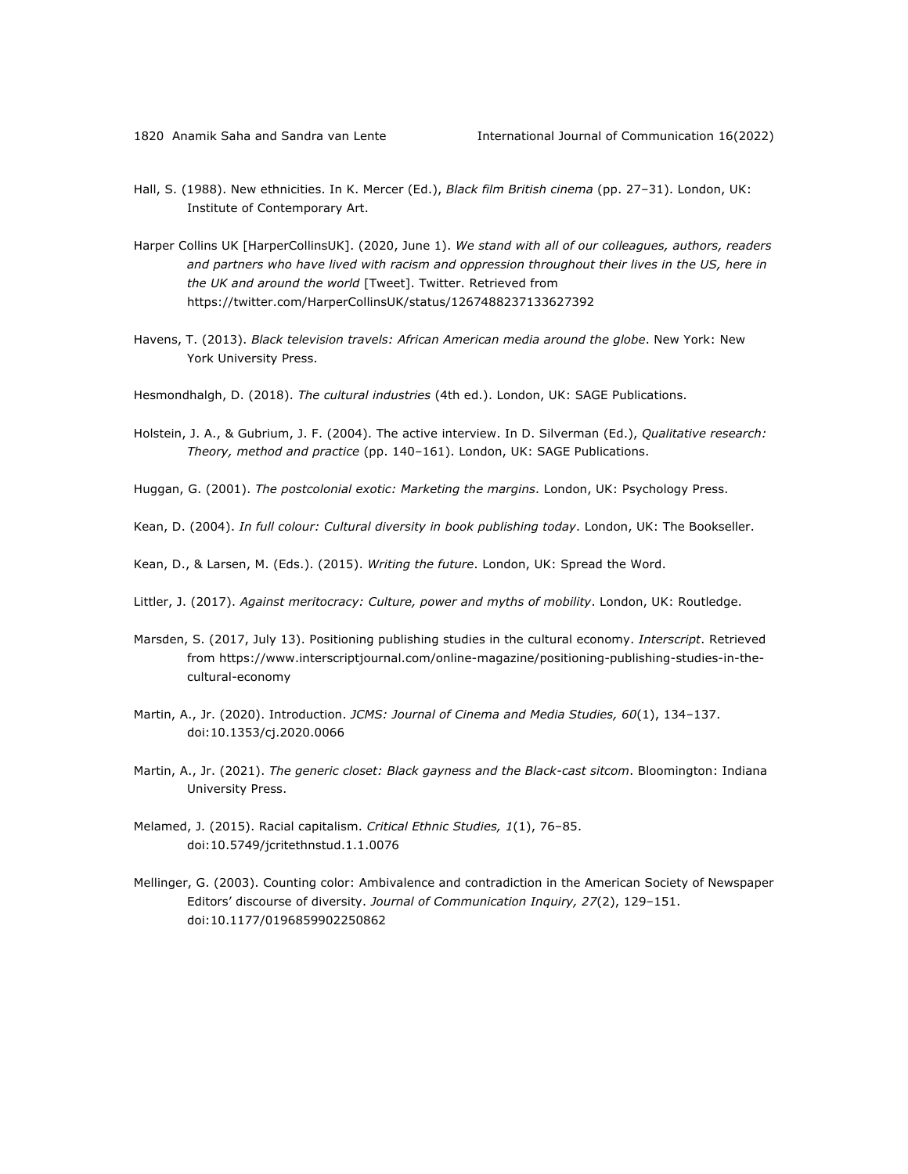- Hall, S. (1988). New ethnicities. In K. Mercer (Ed.), *Black film British cinema* (pp. 27–31). London, UK: Institute of Contemporary Art.
- Harper Collins UK [HarperCollinsUK]. (2020, June 1). *We stand with all of our colleagues, authors, readers and partners who have lived with racism and oppression throughout their lives in the US, here in the UK and around the world* [Tweet]. Twitter. Retrieved from https://twitter.com/HarperCollinsUK/status/1267488237133627392
- Havens, T. (2013). *Black television travels: African American media around the globe*. New York: New York University Press.
- Hesmondhalgh, D. (2018). *The cultural industries* (4th ed.). London, UK: SAGE Publications.
- Holstein, J. A., & Gubrium, J. F. (2004). The active interview. In D. Silverman (Ed.), *Qualitative research: Theory, method and practice* (pp. 140–161). London, UK: SAGE Publications.
- Huggan, G. (2001). *The postcolonial exotic: Marketing the margins*. London, UK: Psychology Press.
- Kean, D. (2004). *In full colour: Cultural diversity in book publishing today*. London, UK: The Bookseller.
- Kean, D., & Larsen, M. (Eds.). (2015). *Writing the future*. London, UK: Spread the Word.
- Littler, J. (2017). *Against meritocracy: Culture, power and myths of mobility*. London, UK: Routledge.
- Marsden, S. (2017, July 13). Positioning publishing studies in the cultural economy. *Interscript*. Retrieved from https://www.interscriptjournal.com/online-magazine/positioning-publishing-studies-in-thecultural-economy
- Martin, A., Jr. (2020). Introduction. *JCMS: Journal of Cinema and Media Studies, 60*(1), 134–137. doi:10.1353/cj.2020.0066
- Martin, A., Jr. (2021). *The generic closet: Black gayness and the Black-cast sitcom*. Bloomington: Indiana University Press.
- Melamed, J. (2015). Racial capitalism. *Critical Ethnic Studies, 1*(1), 76–85. doi:10.5749/jcritethnstud.1.1.0076
- Mellinger, G. (2003). Counting color: Ambivalence and contradiction in the American Society of Newspaper Editors' discourse of diversity. *Journal of Communication Inquiry, 27*(2), 129–151. doi:10.1177/0196859902250862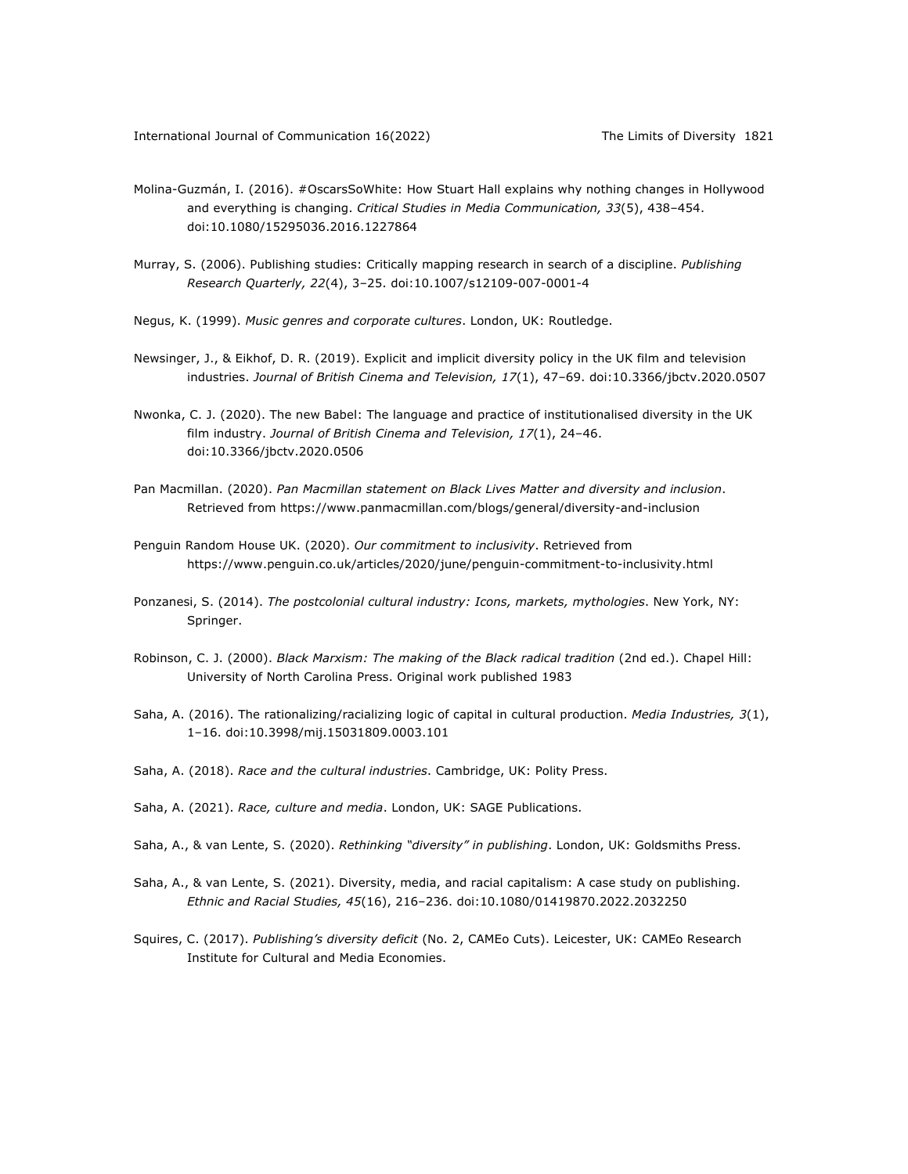- Molina-Guzmán, I. (2016). #OscarsSoWhite: How Stuart Hall explains why nothing changes in Hollywood and everything is changing. *Critical Studies in Media Communication, 33*(5), 438–454. doi:10.1080/15295036.2016.1227864
- Murray, S. (2006). Publishing studies: Critically mapping research in search of a discipline. *Publishing Research Quarterly, 22*(4), 3–25. doi:10.1007/s12109-007-0001-4
- Negus, K. (1999). *Music genres and corporate cultures*. London, UK: Routledge.
- Newsinger, J., & Eikhof, D. R. (2019). Explicit and implicit diversity policy in the UK film and television industries. *Journal of British Cinema and Television, 17*(1), 47–69. doi:10.3366/jbctv.2020.0507
- Nwonka, C. J. (2020). The new Babel: The language and practice of institutionalised diversity in the UK film industry. *Journal of British Cinema and Television, 17*(1), 24–46. doi:10.3366/jbctv.2020.0506
- Pan Macmillan. (2020). *Pan Macmillan statement on Black Lives Matter and diversity and inclusion*. Retrieved from https://www.panmacmillan.com/blogs/general/diversity-and-inclusion
- Penguin Random House UK. (2020). *Our commitment to inclusivity*. Retrieved from https://www.penguin.co.uk/articles/2020/june/penguin-commitment-to-inclusivity.html
- Ponzanesi, S. (2014). *The postcolonial cultural industry: Icons, markets, mythologies*. New York, NY: Springer.
- Robinson, C. J. (2000). *Black Marxism: The making of the Black radical tradition* (2nd ed.). Chapel Hill: University of North Carolina Press. Original work published 1983
- Saha, A. (2016). The rationalizing/racializing logic of capital in cultural production. *Media Industries, 3*(1), 1–16. doi:10.3998/mij.15031809.0003.101
- Saha, A. (2018). *Race and the cultural industries*. Cambridge, UK: Polity Press.
- Saha, A. (2021). *Race, culture and media*. London, UK: SAGE Publications.
- Saha, A., & van Lente, S. (2020). *Rethinking "diversity" in publishing*. London, UK: Goldsmiths Press.
- Saha, A., & van Lente, S. (2021). Diversity, media, and racial capitalism: A case study on publishing. *Ethnic and Racial Studies, 45*(16), 216–236. doi:10.1080/01419870.2022.2032250
- Squires, C. (2017). *Publishing's diversity deficit* (No. 2, CAMEo Cuts). Leicester, UK: CAMEo Research Institute for Cultural and Media Economies.